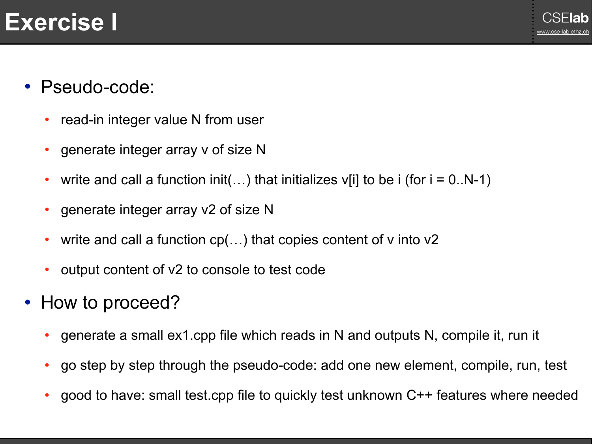### CSE**lab Exercise I** [www.cse-lab.ethz.ch](http://www.cse-lab.ethz.ch)

- Pseudo-code:
	- read-in integer value N from user
	- generate integer array v of size N
	- write and call a function init(...) that initializes v[i] to be i (for  $i = 0..N-1$ )
	- generate integer array v2 of size N
	- write and call a function  $cp(...)$  that copies content of v into v2
	- output content of v2 to console to test code
- How to proceed?
	- generate a small ex1.cpp file which reads in N and outputs N, compile it, run it
	- go step by step through the pseudo-code: add one new element, compile, run, test
	- good to have: small test.cpp file to quickly test unknown C++ features where needed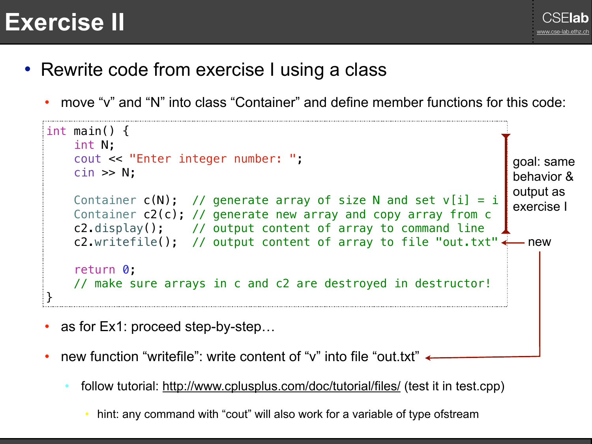## **Exercise II** Server **Exercise** II



- Rewrite code from exercise I using a class
	- move "v" and "N" into class "Container" and define member functions for this code:

```
int main() { 
     int N; 
     cout << "Enter integer number: "; 
     cin >> N; 
    Container c(N); // generate array of size N and set v[i] = i Container c2(c); // generate new array and copy array from c
     c2.display(); // output content of array to command line
    c2.writefile(); // output content of array to file "out.txt"\leftarrow return 0; 
     // make sure arrays in c and c2 are destroyed in destructor!
}
                                                                        goal: same 
                                                                        behavior & 
                                                                        output as 
                                                                        exercise I
                                                                        - new
```
- as for Ex1: proceed step-by-step...
- new function "writefile": write content of "v" into file "out.txt"  $\leftarrow$ 
	- follow tutorial: <http://www.cplusplus.com/doc/tutorial/files/> (test it in test.cpp)
		- hint: any command with "cout" will also work for a variable of type ofstream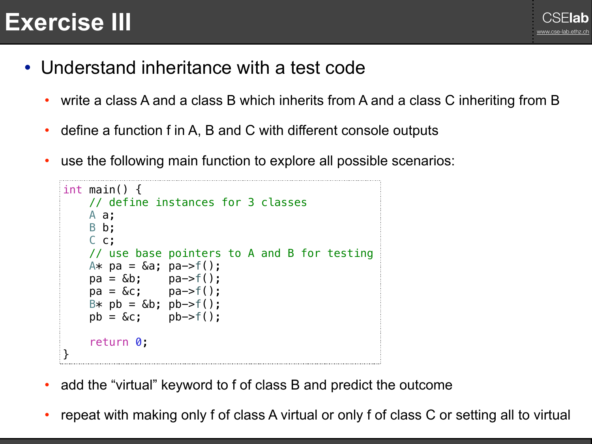# CSE**lab Exercise III** [www.cse-lab.ethz.ch](http://www.cse-lab.ethz.ch)



- Understand inheritance with a test code
	- write a class A and a class B which inherits from A and a class C inheriting from B
	- define a function f in A, B and C with different console outputs
	- use the following main function to explore all possible scenarios:

```
\vertint main() {
      // define instances for 3 classes
      A a; 
      B b; 
      C c; 
      // use base pointers to A and B for testing
     A* pa = \&a; pa \rightarrow f();
     pa = \&b; pa \rightarrow f();pa = \&c; pa \rightarrow f();B* pb = 6b; pb -> f();pb = \&c; pb \rightarrow f(); return 0; 
}
```
- add the "virtual" keyword to f of class B and predict the outcome
- repeat with making only f of class A virtual or only f of class C or setting all to virtual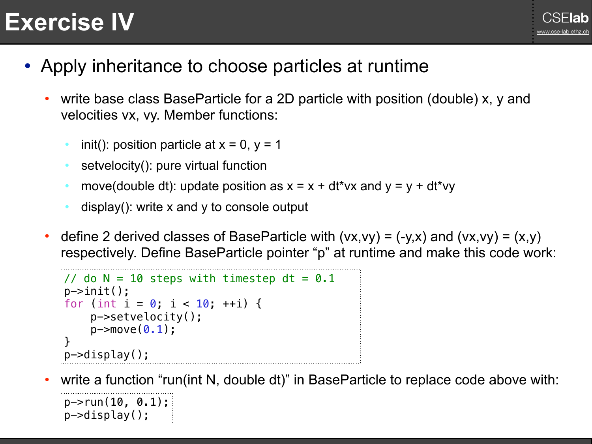### CSE**lab Exercise IV** [www.cse-lab.ethz.ch](http://www.cse-lab.ethz.ch)

- Apply inheritance to choose particles at runtime
	- write base class BaseParticle for a 2D particle with position (double) x, y and velocities vx, vy. Member functions:
		- init(): position particle at  $x = 0$ ,  $y = 1$
		- setvelocity(): pure virtual function
		- move(double dt): update position as  $x = x + dt^*v^2$  and  $y = y + dt^*v^2$
		- display(): write  $x$  and  $y$  to console output
	- define 2 derived classes of BaseParticle with  $(vx,vy) = (-y,x)$  and  $(vx,vy) = (x,y)$ respectively. Define BaseParticle pointer "p" at runtime and make this code work:

```
1/7 do N = 10 steps with timestep dt = 0.1
p->init(); 
for (int i = 0; i < 10; +i) {
     p->setvelocity(); 
    p->move(0.1);
} 
p->display();
```
write a function "run(int N, double dt)" in BaseParticle to replace code above with:

```
p->run(10, 0.1);
p->display();
```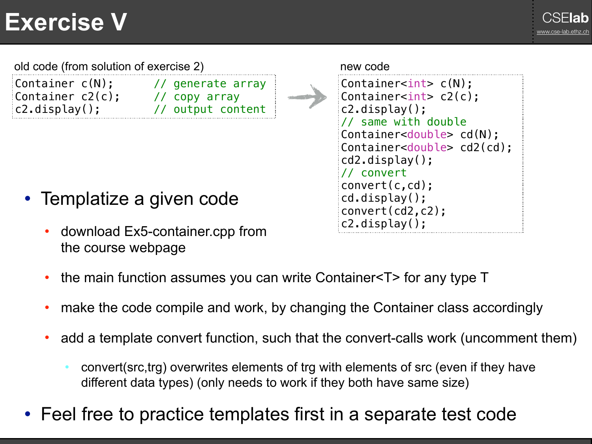### CSE**lab Exercise V** [www.cse-lab.ethz.ch](http://www.cse-lab.ethz.ch)

Container c(N); // generate array Container c2(c); // copy array c2.display(); // output content old code (from solution of exercise 2) here is new code new code Container<int> c(N); Container<int> c2(c); c2.display(); // same with double Container<double> cd(N); Container<double> cd2(cd); cd2.display(); // convert convert(c,cd);

- Templatize a given code
	- download Ex5-container.cpp from the course webpage



- the main function assumes you can write Container<T> for any type T
- make the code compile and work, by changing the Container class accordingly
- add a template convert function, such that the convert-calls work (uncomment them)
	- convert(src,trg) overwrites elements of trg with elements of src (even if they have different data types) (only needs to work if they both have same size)
- Feel free to practice templates first in a separate test code